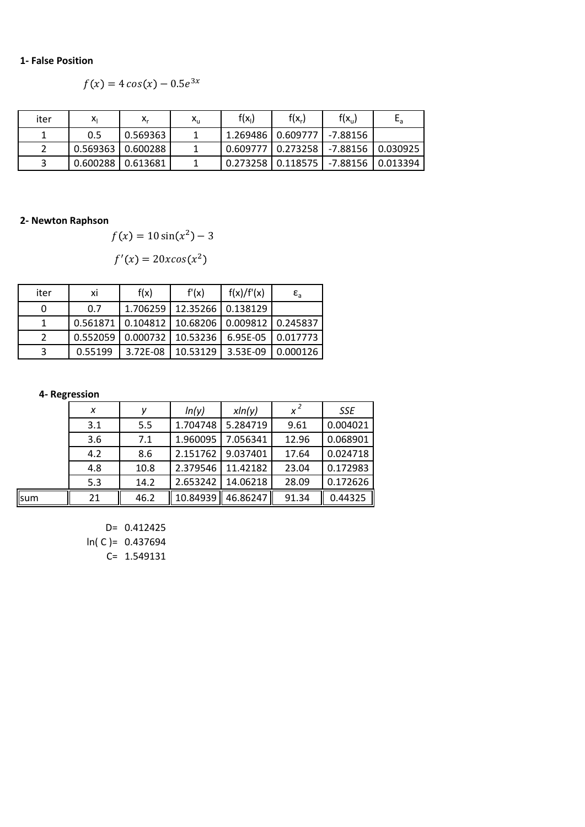#### **1- False Position**

$$
f(x) = 4\cos(x) - 0.5e^{3x}
$$

| iter | Χı                    | $X_r$                   | $\mathsf{x}_\mathsf{u}$ | $f(x_1)$                                  | $f(x_r)$              | $f(x_u)$            | $E_{a}$ |
|------|-----------------------|-------------------------|-------------------------|-------------------------------------------|-----------------------|---------------------|---------|
|      | 0.5                   | 0.569363                |                         | 1.269486 l                                | $0.609777$   -7.88156 |                     |         |
|      |                       | $0.569363$   $0.600288$ |                         | 0.609777   0.273258   -7.88156   0.030925 |                       |                     |         |
| ς    | $0.600288$   0.613681 |                         |                         | 0.273258                                  | 0.118575              | -7.88156   0.013394 |         |

## **2- Newton Raphson**

$$
f(x) = 10\sin(x^2) - 3
$$

$$
f'(x) = 20x\cos(x^2)
$$

| iter | ΧI       | f(x)     | f'(x)                                            | f(x)/f'(x) | $\epsilon$ <sub>a</sub> |
|------|----------|----------|--------------------------------------------------|------------|-------------------------|
|      | 0.7      | 1.706259 | 12.35266   0.138129                              |            |                         |
|      | 0.561871 |          | $\mid$ 0.104812   10.68206   0.009812   0.245837 |            |                         |
|      | 0.552059 |          | $0.000732$   10.53236                            | 6.95E-05   | 0.017773                |
| ર    | 0.55199  | 3.72F-08 | 10.53129                                         | 3.53F-09   | 0.000126                |

#### **4- Regression**

|     | x   | ν    | ln(y)    | xln(y)   | $x^2$ | <b>SSE</b> |
|-----|-----|------|----------|----------|-------|------------|
|     | 3.1 | 5.5  | 1.704748 | 5.284719 | 9.61  | 0.004021   |
|     | 3.6 | 7.1  | 1.960095 | 7.056341 | 12.96 | 0.068901   |
|     | 4.2 | 8.6  | 2.151762 | 9.037401 | 17.64 | 0.024718   |
|     | 4.8 | 10.8 | 2.379546 | 11.42182 | 23.04 | 0.172983   |
|     | 5.3 | 14.2 | 2.653242 | 14.06218 | 28.09 | 0.172626   |
| sum | 21  | 46.2 | 10.84939 | 46.86247 | 91.34 | 0.44325    |

D= 0.412425

ln( C )= 0.437694

C= 1.549131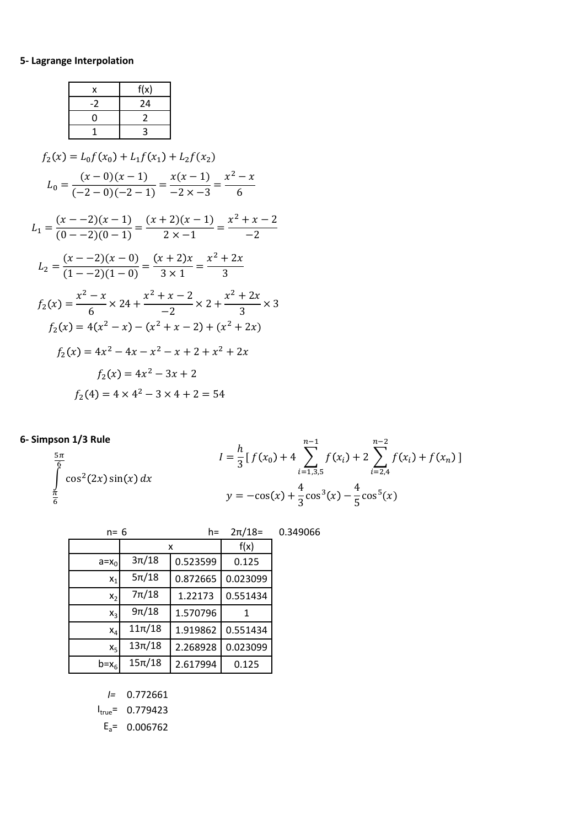# **5- Lagrange Interpolation**

|                          | x                                               | f(x)           |                                                                                                                                                             |  |  |
|--------------------------|-------------------------------------------------|----------------|-------------------------------------------------------------------------------------------------------------------------------------------------------------|--|--|
|                          | $-2$                                            | 24             |                                                                                                                                                             |  |  |
|                          | 0                                               | $\overline{2}$ |                                                                                                                                                             |  |  |
|                          | 1                                               | 3              |                                                                                                                                                             |  |  |
|                          | $f_2(x) = L_0 f(x_0) + L_1 f(x_1) + L_2 f(x_2)$ |                |                                                                                                                                                             |  |  |
|                          |                                                 |                | $L_0 = \frac{(x-0)(x-1)}{(-2-0)(-2-1)} = \frac{x(x-1)}{-2 \times -3} = \frac{x^2 - x}{6}$                                                                   |  |  |
|                          |                                                 |                | $L_1 = \frac{(x - (-2)(x - 1))}{(0 - (-2)(0 - 1))} = \frac{(x + 2)(x - 1)}{2x - 1} = \frac{x^2 + x - 2}{-2}$                                                |  |  |
|                          |                                                 |                | $L_2 = \frac{(x - -2)(x - 0)}{(1 - -2)(1 - 0)} = \frac{(x + 2)x}{3 \times 1} = \frac{x^2 + 2x}{3}$                                                          |  |  |
|                          |                                                 |                | $f_2(x) = \frac{x^2 - x}{6} \times 24 + \frac{x^2 + x - 2}{2} \times 2 + \frac{x^2 + 2x}{2} \times 3$<br>$f_2(x) = 4(x^2 - x) - (x^2 + x - 2) + (x^2 + 2x)$ |  |  |
|                          |                                                 |                | $f_2(x) = 4x^2 - 4x - x^2 - x + 2 + x^2 + 2x$                                                                                                               |  |  |
| $f_2(x) = 4x^2 - 3x + 2$ |                                                 |                |                                                                                                                                                             |  |  |
|                          |                                                 |                | $f_2(4) = 4 \times 4^2 - 3 \times 4 + 2 = 54$                                                                                                               |  |  |

# **6- Simpson 1/3 Rule**

 $\int \cos^2(2x) \sin(x) dx$  $5\pi$ 6  $\breve{\pi}$ 6

$$
I = \frac{h}{3} [f(x_0) + 4 \sum_{i=1,3,5}^{n-1} f(x_i) + 2 \sum_{i=2,4}^{n-2} f(x_i) + f(x_n)]
$$
  

$$
y = -\cos(x) + \frac{4}{3} \cos^3(x) - \frac{4}{5} \cos^5(x)
$$

| $n = 6$        |            | $h=$     | $2\pi/18=$ | 0.349066 |
|----------------|------------|----------|------------|----------|
|                |            | x        | f(x)       |          |
| $a=x_0$        | $3\pi/18$  | 0.523599 | 0.125      |          |
| $x_1$          | $5\pi/18$  | 0.872665 | 0.023099   |          |
| $x_2$          | $7\pi/18$  | 1.22173  | 0.551434   |          |
| $x_3$          | $9\pi/18$  | 1.570796 | 1          |          |
| $x_4$          | $11\pi/18$ | 1.919862 | 0.551434   |          |
| x <sub>5</sub> | $13\pi/18$ | 2.268928 | 0.023099   |          |
| $b=x_6$        | $15\pi/18$ | 2.617994 | 0.125      |          |

*I=* 0.772661

 $I_{true} = 0.779423$ 

 $E_a$ = 0.006762